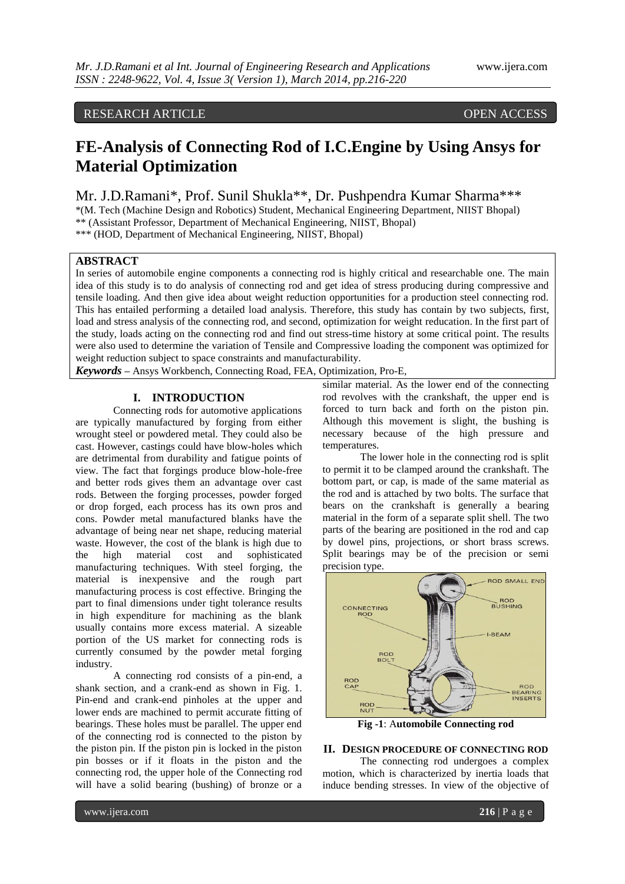# RESEARCH ARTICLE **CONSERVERS**

# **FE-Analysis of Connecting Rod of I.C.Engine by Using Ansys for Material Optimization**

Mr. J.D.Ramani\*, Prof. Sunil Shukla\*\*, Dr. Pushpendra Kumar Sharma\*\*\*

\*(M. Tech (Machine Design and Robotics) Student, Mechanical Engineering Department, NIIST Bhopal) \*\* (Assistant Professor, Department of Mechanical Engineering, NIIST, Bhopal)

\*\*\* (HOD, Department of Mechanical Engineering, NIIST, Bhopal)

# **ABSTRACT**

In series of automobile engine components a connecting rod is highly critical and researchable one. The main idea of this study is to do analysis of connecting rod and get idea of stress producing during compressive and tensile loading. And then give idea about weight reduction opportunities for a production steel connecting rod. This has entailed performing a detailed load analysis. Therefore, this study has contain by two subjects, first, load and stress analysis of the connecting rod, and second, optimization for weight reducation. In the first part of the study, loads acting on the connecting rod and find out stress-time history at some critical point. The results were also used to determine the variation of Tensile and Compressive loading the component was optimized for weight reduction subject to space constraints and manufacturability.

*Keywords* **–** Ansys Workbench, Connecting Road, FEA, Optimization, Pro-E,

# **I. INTRODUCTION**

Connecting rods for automotive applications are typically manufactured by forging from either wrought steel or powdered metal. They could also be cast. However, castings could have blow-holes which are detrimental from durability and fatigue points of view. The fact that forgings produce blow-hole-free and better rods gives them an advantage over cast rods. Between the forging processes, powder forged or drop forged, each process has its own pros and cons. Powder metal manufactured blanks have the advantage of being near net shape, reducing material waste. However, the cost of the blank is high due to<br>the high material cost and sophisticated the high material cost and manufacturing techniques. With steel forging, the material is inexpensive and the rough part manufacturing process is cost effective. Bringing the part to final dimensions under tight tolerance results in high expenditure for machining as the blank usually contains more excess material. A sizeable portion of the US market for connecting rods is currently consumed by the powder metal forging industry.

A connecting rod consists of a pin-end, a shank section, and a crank-end as shown in Fig. 1. Pin-end and crank-end pinholes at the upper and lower ends are machined to permit accurate fitting of bearings. These holes must be parallel. The upper end of the connecting rod is connected to the piston by the piston pin. If the piston pin is locked in the piston pin bosses or if it floats in the piston and the connecting rod, the upper hole of the Connecting rod will have a solid bearing (bushing) of bronze or a

similar material. As the lower end of the connecting rod revolves with the crankshaft, the upper end is forced to turn back and forth on the piston pin. Although this movement is slight, the bushing is necessary because of the high pressure and temperatures.

The lower hole in the connecting rod is split to permit it to be clamped around the crankshaft. The bottom part, or cap, is made of the same material as the rod and is attached by two bolts. The surface that bears on the crankshaft is generally a bearing material in the form of a separate split shell. The two parts of the bearing are positioned in the rod and cap by dowel pins, projections, or short brass screws. Split bearings may be of the precision or semi precision type.



**Fig -1**: A**utomobile Connecting rod**

#### **II. DESIGN PROCEDURE OF CONNECTING ROD**

The connecting rod undergoes a complex motion, which is characterized by inertia loads that induce bending stresses. In view of the objective of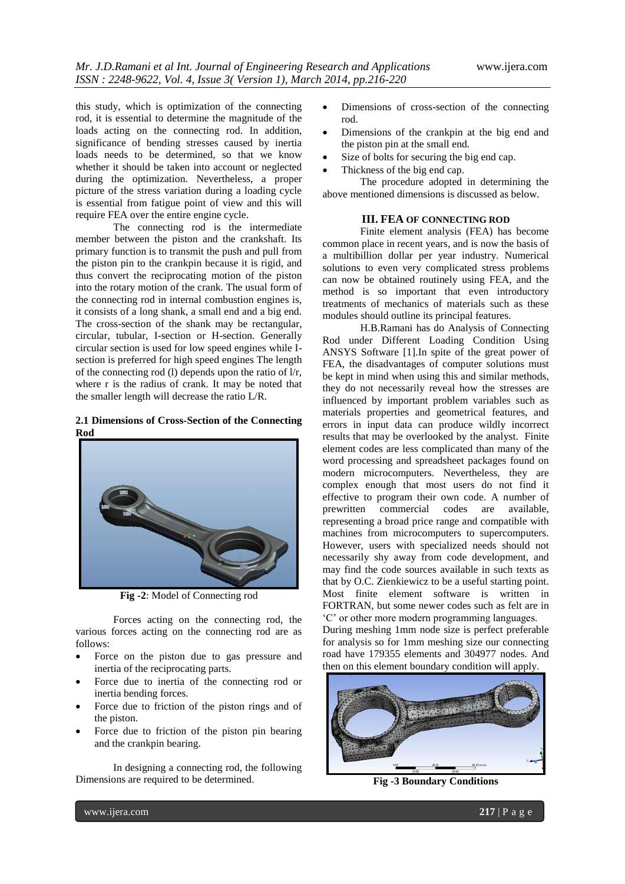this study, which is optimization of the connecting rod, it is essential to determine the magnitude of the loads acting on the connecting rod. In addition, significance of bending stresses caused by inertia loads needs to be determined, so that we know whether it should be taken into account or neglected during the optimization. Nevertheless, a proper picture of the stress variation during a loading cycle is essential from fatigue point of view and this will require FEA over the entire engine cycle.

The connecting rod is the intermediate member between the piston and the crankshaft. Its primary function is to transmit the push and pull from the piston pin to the crankpin because it is rigid, and thus convert the reciprocating motion of the piston into the rotary motion of the crank. The usual form of the connecting rod in internal combustion engines is, it consists of a long shank, a small end and a big end. The cross-section of the shank may be rectangular, circular, tubular, I-section or H-section. Generally circular section is used for low speed engines while Isection is preferred for high speed engines The length of the connecting rod (l) depends upon the ratio of l/r, where r is the radius of crank. It may be noted that the smaller length will decrease the ratio L/R.

## **2.1 Dimensions of Cross-Section of the Connecting Rod**



**Fig -2**: Model of Connecting rod

Forces acting on the connecting rod, the various forces acting on the connecting rod are as follows:

- Force on the piston due to gas pressure and inertia of the reciprocating parts.
- Force due to inertia of the connecting rod or inertia bending forces.
- Force due to friction of the piston rings and of the piston.
- Force due to friction of the piston pin bearing and the crankpin bearing.

In designing a connecting rod, the following Dimensions are required to be determined.

- Dimensions of cross-section of the connecting rod.
- Dimensions of the crankpin at the big end and the piston pin at the small end.
- Size of bolts for securing the big end cap.
- Thickness of the big end cap.

The procedure adopted in determining the above mentioned dimensions is discussed as below.

# **III. FEA OF CONNECTING ROD**

Finite element analysis (FEA) has become common place in recent years, and is now the basis of a multibillion dollar per year industry. Numerical solutions to even very complicated stress problems can now be obtained routinely using FEA, and the method is so important that even introductory treatments of mechanics of materials such as these modules should outline its principal features.

H.B.Ramani has do Analysis of Connecting Rod under Different Loading Condition Using ANSYS Software [1].In spite of the great power of FEA, the disadvantages of computer solutions must be kept in mind when using this and similar methods, they do not necessarily reveal how the stresses are influenced by important problem variables such as materials properties and geometrical features, and errors in input data can produce wildly incorrect results that may be overlooked by the analyst. Finite element codes are less complicated than many of the word processing and spreadsheet packages found on modern microcomputers. Nevertheless, they are complex enough that most users do not find it effective to program their own code. A number of prewritten commercial codes are available, representing a broad price range and compatible with machines from microcomputers to supercomputers. However, users with specialized needs should not necessarily shy away from code development, and may find the code sources available in such texts as that by O.C. Zienkiewicz to be a useful starting point. Most finite element software is written in FORTRAN, but some newer codes such as felt are in "C" or other more modern programming languages.

During meshing 1mm node size is perfect preferable for analysis so for 1mm meshing size our connecting road have 179355 elements and 304977 nodes. And then on this element boundary condition will apply.



**Fig -3 Boundary Conditions**

www.ijera.com **217** | P a g e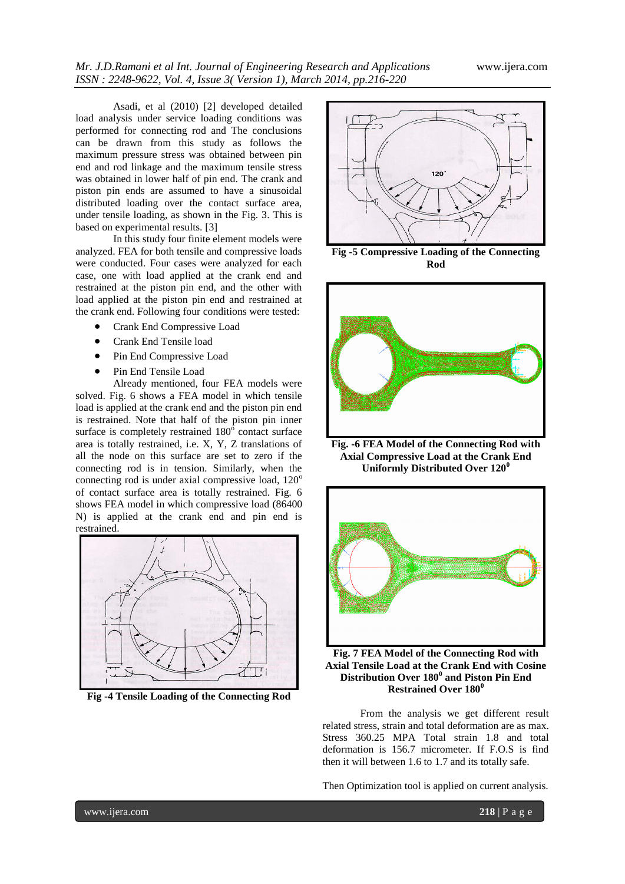Asadi, et al (2010) [2] developed detailed load analysis under service loading conditions was performed for connecting rod and The conclusions can be drawn from this study as follows the maximum pressure stress was obtained between pin end and rod linkage and the maximum tensile stress was obtained in lower half of pin end. The crank and piston pin ends are assumed to have a sinusoidal distributed loading over the contact surface area, under tensile loading, as shown in the Fig. 3. This is based on experimental results. [3]

In this study four finite element models were analyzed. FEA for both tensile and compressive loads were conducted. Four cases were analyzed for each case, one with load applied at the crank end and restrained at the piston pin end, and the other with load applied at the piston pin end and restrained at the crank end. Following four conditions were tested:

- Crank End Compressive Load
- Crank End Tensile load
- Pin End Compressive Load
- Pin End Tensile Load

Already mentioned, four FEA models were solved. Fig. 6 shows a FEA model in which tensile load is applied at the crank end and the piston pin end is restrained. Note that half of the piston pin inner surface is completely restrained 180° contact surface area is totally restrained, i.e. X, Y, Z translations of all the node on this surface are set to zero if the connecting rod is in tension. Similarly, when the connecting rod is under axial compressive load,  $120^{\circ}$ of contact surface area is totally restrained. Fig. 6 shows FEA model in which compressive load (86400 N) is applied at the crank end and pin end is restrained.



**Fig -4 Tensile Loading of the Connecting Rod**



**Fig -5 Compressive Loading of the Connecting Rod**



**Fig. -6 FEA Model of the Connecting Rod with Axial Compressive Load at the Crank End Uniformly Distributed Over 120<sup>0</sup>**



**Fig. 7 FEA Model of the Connecting Rod with Axial Tensile Load at the Crank End with Cosine Distribution Over 180<sup>0</sup> and Piston Pin End Restrained Over 180<sup>0</sup>** 

From the analysis we get different result related stress, strain and total deformation are as max. Stress 360.25 MPA Total strain 1.8 and total deformation is 156.7 micrometer. If F.O.S is find then it will between 1.6 to 1.7 and its totally safe.

Then Optimization tool is applied on current analysis.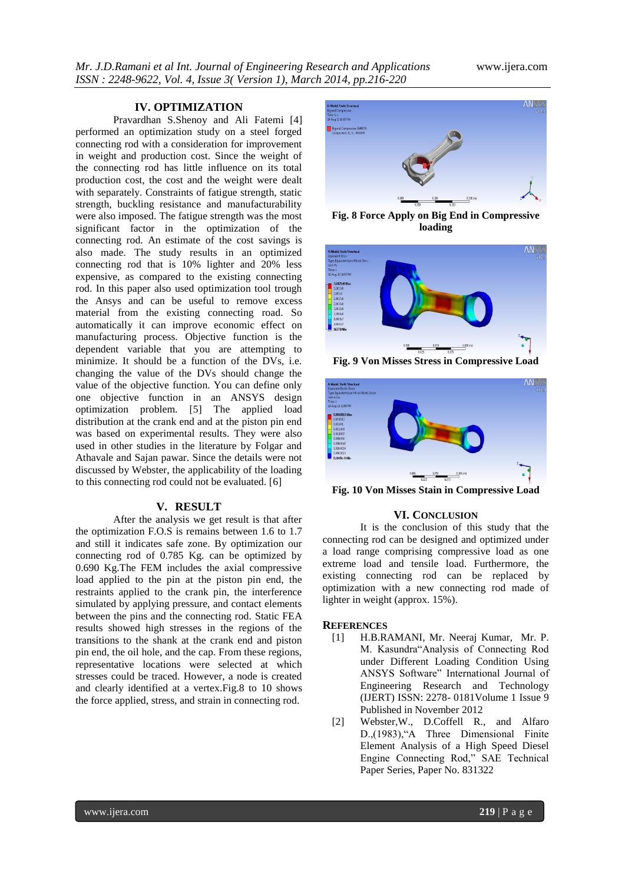#### **IV. OPTIMIZATION**

Pravardhan S.Shenoy and Ali Fatemi [4] performed an optimization study on a steel forged connecting rod with a consideration for improvement in weight and production cost. Since the weight of the connecting rod has little influence on its total production cost, the cost and the weight were dealt with separately. Constraints of fatigue strength, static strength, buckling resistance and manufacturability were also imposed. The fatigue strength was the most significant factor in the optimization of the connecting rod. An estimate of the cost savings is also made. The study results in an optimized connecting rod that is 10% lighter and 20% less expensive, as compared to the existing connecting rod. In this paper also used optimization tool trough the Ansys and can be useful to remove excess material from the existing connecting road. So automatically it can improve economic effect on manufacturing process. Objective function is the dependent variable that you are attempting to minimize. It should be a function of the DVs, i.e. changing the value of the DVs should change the value of the objective function. You can define only one objective function in an ANSYS design optimization problem. [5] The applied load distribution at the crank end and at the piston pin end was based on experimental results. They were also used in other studies in the literature by Folgar and Athavale and Sajan pawar. Since the details were not discussed by Webster, the applicability of the loading to this connecting rod could not be evaluated. [6]

## **V. RESULT**

After the analysis we get result is that after the optimization F.O.S is remains between 1.6 to 1.7 and still it indicates safe zone. By optimization our connecting rod of 0.785 Kg. can be optimized by 0.690 Kg.The FEM includes the axial compressive load applied to the pin at the piston pin end, the restraints applied to the crank pin, the interference simulated by applying pressure, and contact elements between the pins and the connecting rod. Static FEA results showed high stresses in the regions of the transitions to the shank at the crank end and piston pin end, the oil hole, and the cap. From these regions, representative locations were selected at which stresses could be traced. However, a node is created and clearly identified at a vertex.Fig.8 to 10 shows the force applied, stress, and strain in connecting rod.



**Fig. 8 Force Apply on Big End in Compressive loading**



**Fig. 9 Von Misses Stress in Compressive Load**



**Fig. 10 Von Misses Stain in Compressive Load**

## **VI. CONCLUSION**

It is the conclusion of this study that the connecting rod can be designed and optimized under a load range comprising compressive load as one extreme load and tensile load. Furthermore, the existing connecting rod can be replaced by optimization with a new connecting rod made of lighter in weight (approx. 15%).

#### **REFERENCES**

- [1] H.B.RAMANI, Mr. Neeraj Kumar, Mr. P. M. Kasundra"Analysis of Connecting Rod under Different Loading Condition Using ANSYS Software" International Journal of Engineering Research and Technology (IJERT) ISSN: 2278- 0181Volume 1 Issue 9 Published in November 2012
- [2] Webster,W., D.Coffell R., and Alfaro D.,(1983),"A Three Dimensional Finite Element Analysis of a High Speed Diesel Engine Connecting Rod," SAE Technical Paper Series, Paper No. 831322